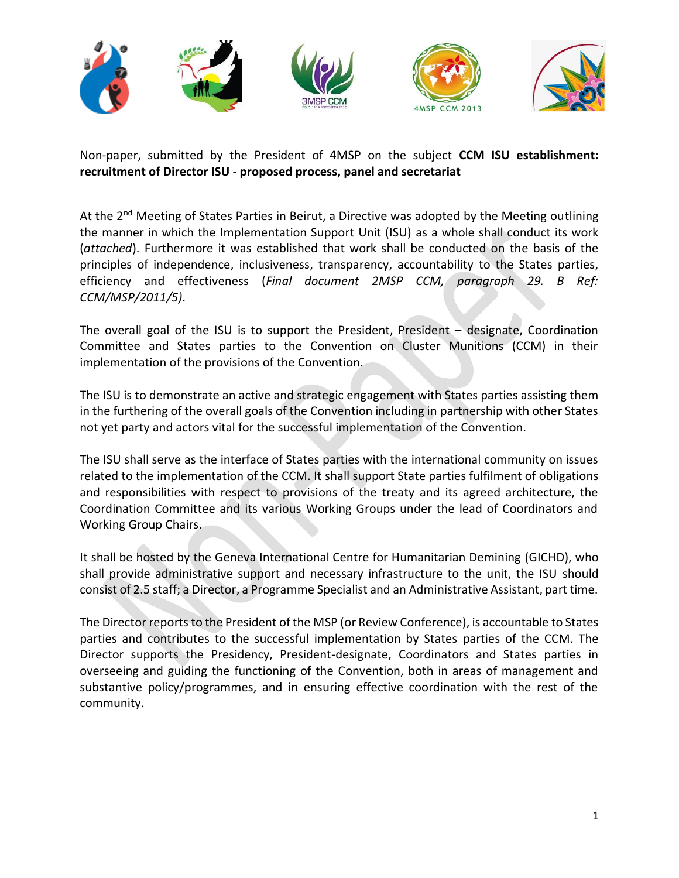

Non-paper, submitted by the President of 4MSP on the subject **CCM ISU establishment: recruitment of Director ISU - proposed process, panel and secretariat**

At the 2<sup>nd</sup> Meeting of States Parties in Beirut, a Directive was adopted by the Meeting outlining the manner in which the Implementation Support Unit (ISU) as a whole shall conduct its work (*attached*). Furthermore it was established that work shall be conducted on the basis of the principles of independence, inclusiveness, transparency, accountability to the States parties, efficiency and effectiveness (*Final document 2MSP CCM, paragraph 29. B Ref: CCM/MSP/2011/5)*.

The overall goal of the ISU is to support the President, President – designate, Coordination Committee and States parties to the Convention on Cluster Munitions (CCM) in their implementation of the provisions of the Convention.

The ISU is to demonstrate an active and strategic engagement with States parties assisting them in the furthering of the overall goals of the Convention including in partnership with other States not yet party and actors vital for the successful implementation of the Convention.

The ISU shall serve as the interface of States parties with the international community on issues related to the implementation of the CCM. It shall support State parties fulfilment of obligations and responsibilities with respect to provisions of the treaty and its agreed architecture, the Coordination Committee and its various Working Groups under the lead of Coordinators and Working Group Chairs.

It shall be hosted by the Geneva International Centre for Humanitarian Demining (GICHD), who shall provide administrative support and necessary infrastructure to the unit, the ISU should consist of 2.5 staff; a Director, a Programme Specialist and an Administrative Assistant, part time.

The Director reports to the President of the MSP (or Review Conference), is accountable to States parties and contributes to the successful implementation by States parties of the CCM. The Director supports the Presidency, President-designate, Coordinators and States parties in overseeing and guiding the functioning of the Convention, both in areas of management and substantive policy/programmes, and in ensuring effective coordination with the rest of the community.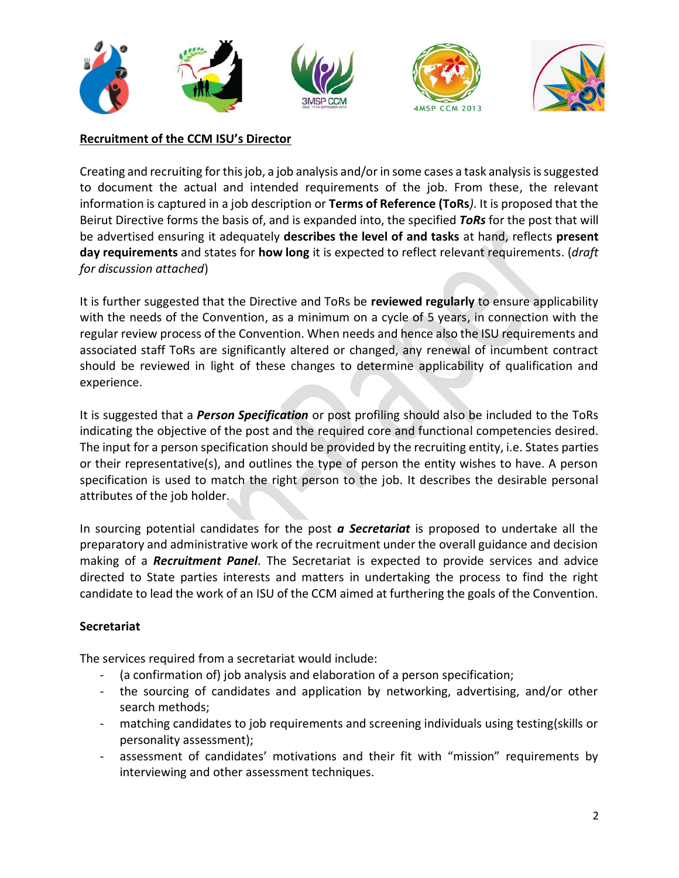



## **Recruitment of the CCM ISU's Director**

Creating and recruiting for this job, a job analysis and/or in some cases a task analysis is suggested to document the actual and intended requirements of the job. From these, the relevant information is captured in a job description or **Terms of Reference (ToRs***)*. It is proposed that the Beirut Directive forms the basis of, and is expanded into, the specified *ToRs* for the post that will be advertised ensuring it adequately **describes the level of and tasks** at hand, reflects **present day requirements** and states for **how long** it is expected to reflect relevant requirements. (*draft for discussion attached*)

It is further suggested that the Directive and ToRs be **reviewed regularly** to ensure applicability with the needs of the Convention, as a minimum on a cycle of 5 years, in connection with the regular review process of the Convention. When needs and hence also the ISU requirements and associated staff ToRs are significantly altered or changed, any renewal of incumbent contract should be reviewed in light of these changes to determine applicability of qualification and experience.

It is suggested that a *Person Specification* or post profiling should also be included to the ToRs indicating the objective of the post and the required core and functional competencies desired. The input for a person specification should be provided by the recruiting entity, i.e. States parties or their representative(s), and outlines the type of person the entity wishes to have. A person specification is used to match the right person to the job. It describes the desirable personal attributes of the job holder.

In sourcing potential candidates for the post *a Secretariat* is proposed to undertake all the preparatory and administrative work of the recruitment under the overall guidance and decision making of a *Recruitment Panel*. The Secretariat is expected to provide services and advice directed to State parties interests and matters in undertaking the process to find the right candidate to lead the work of an ISU of the CCM aimed at furthering the goals of the Convention.

## **Secretariat**

The services required from a secretariat would include:

- (a confirmation of) job analysis and elaboration of a person specification;
- the sourcing of candidates and application by networking, advertising, and/or other search methods;
- matching candidates to job requirements and screening individuals using testing(skills or personality assessment);
- assessment of candidates' motivations and their fit with "mission" requirements by interviewing and other assessment techniques.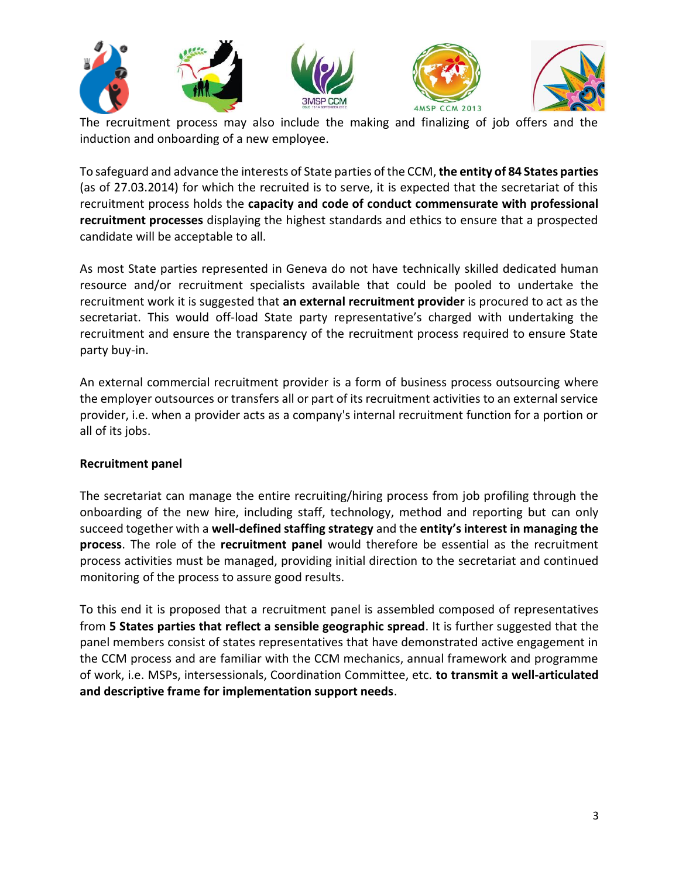

The recruitment process may also include the making and finalizing of job offers and the induction and onboarding of a new employee.

To safeguard and advance the interests of State parties of the CCM, **the entity of 84 States parties** (as of 27.03.2014) for which the recruited is to serve, it is expected that the secretariat of this recruitment process holds the **capacity and code of conduct commensurate with professional recruitment processes** displaying the highest standards and ethics to ensure that a prospected candidate will be acceptable to all.

As most State parties represented in Geneva do not have technically skilled dedicated human resource and/or recruitment specialists available that could be pooled to undertake the recruitment work it is suggested that **an external recruitment provider** is procured to act as the secretariat. This would off-load State party representative's charged with undertaking the recruitment and ensure the transparency of the recruitment process required to ensure State party buy-in.

An external commercial recruitment provider is a form of business process outsourcing where the employer outsources or transfers all or part of its recruitment activities to an external service provider, i.e. when a provider acts as a company's internal recruitment function for a portion or all of its jobs.

## **Recruitment panel**

The secretariat can manage the entire recruiting/hiring process from job profiling through the onboarding of the new hire, including staff, technology, method and reporting but can only succeed together with a **well-defined staffing strategy** and the **entity's interest in managing the process**. The role of the **recruitment panel** would therefore be essential as the recruitment process activities must be managed, providing initial direction to the secretariat and continued monitoring of the process to assure good results.

To this end it is proposed that a recruitment panel is assembled composed of representatives from **5 States parties that reflect a sensible geographic spread**. It is further suggested that the panel members consist of states representatives that have demonstrated active engagement in the CCM process and are familiar with the CCM mechanics, annual framework and programme of work, i.e. MSPs, intersessionals, Coordination Committee, etc. **to transmit a well-articulated and descriptive frame for implementation support needs**.